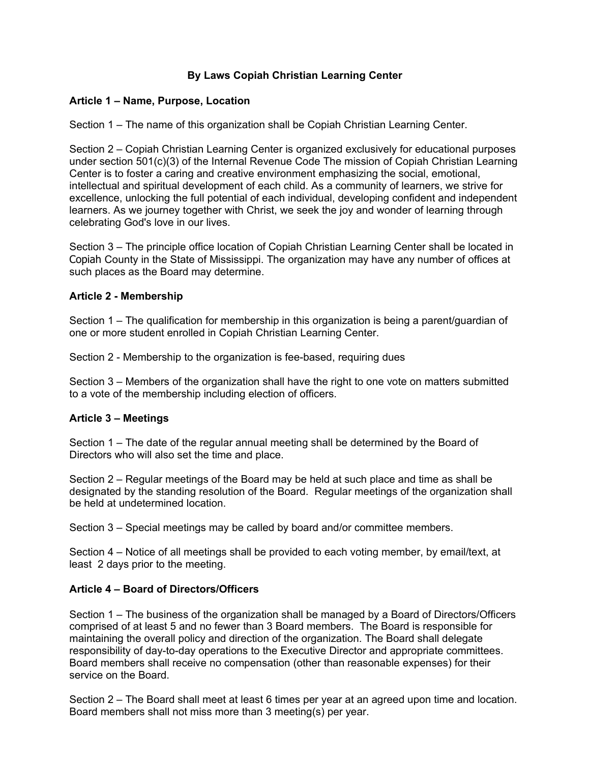# **By Laws Copiah Christian Learning Center**

## **Article 1 – Name, Purpose, Location**

Section 1 – The name of this organization shall be Copiah Christian Learning Center.

Section 2 – Copiah Christian Learning Center is organized exclusively for educational purposes under section 501(c)(3) of the Internal Revenue Code The mission of Copiah Christian Learning Center is to foster a caring and creative environment emphasizing the social, emotional, intellectual and spiritual development of each child. As a community of learners, we strive for excellence, unlocking the full potential of each individual, developing confident and independent learners. As we journey together with Christ, we seek the joy and wonder of learning through celebrating God's love in our lives.

Section 3 – The principle office location of Copiah Christian Learning Center shall be located in Copiah County in the State of Mississippi. The organization may have any number of offices at such places as the Board may determine.

### **Article 2 - Membership**

Section 1 – The qualification for membership in this organization is being a parent/guardian of one or more student enrolled in Copiah Christian Learning Center.

Section 2 - Membership to the organization is fee-based, requiring dues

Section 3 – Members of the organization shall have the right to one vote on matters submitted to a vote of the membership including election of officers.

## **Article 3 – Meetings**

Section 1 – The date of the regular annual meeting shall be determined by the Board of Directors who will also set the time and place.

Section 2 – Regular meetings of the Board may be held at such place and time as shall be designated by the standing resolution of the Board. Regular meetings of the organization shall be held at undetermined location.

Section 3 – Special meetings may be called by board and/or committee members.

Section 4 – Notice of all meetings shall be provided to each voting member, by email/text, at least 2 days prior to the meeting.

## **Article 4 – Board of Directors/Officers**

Section 1 – The business of the organization shall be managed by a Board of Directors/Officers comprised of at least 5 and no fewer than 3 Board members. The Board is responsible for maintaining the overall policy and direction of the organization. The Board shall delegate responsibility of day-to-day operations to the Executive Director and appropriate committees. Board members shall receive no compensation (other than reasonable expenses) for their service on the Board.

Section 2 – The Board shall meet at least 6 times per year at an agreed upon time and location. Board members shall not miss more than 3 meeting(s) per year.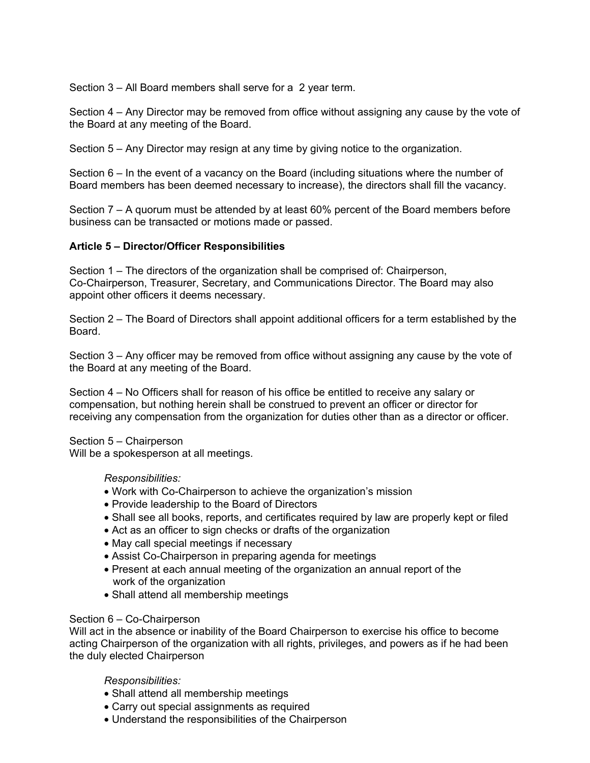Section 3 – All Board members shall serve for a 2 year term.

Section 4 – Any Director may be removed from office without assigning any cause by the vote of the Board at any meeting of the Board.

Section 5 – Any Director may resign at any time by giving notice to the organization.

Section 6 – In the event of a vacancy on the Board (including situations where the number of Board members has been deemed necessary to increase), the directors shall fill the vacancy.

Section 7 – A quorum must be attended by at least 60% percent of the Board members before business can be transacted or motions made or passed.

### **Article 5 – Director/Officer Responsibilities**

Section 1 – The directors of the organization shall be comprised of: Chairperson, Co-Chairperson, Treasurer, Secretary, and Communications Director. The Board may also appoint other officers it deems necessary.

Section 2 – The Board of Directors shall appoint additional officers for a term established by the Board.

Section 3 – Any officer may be removed from office without assigning any cause by the vote of the Board at any meeting of the Board.

Section 4 – No Officers shall for reason of his office be entitled to receive any salary or compensation, but nothing herein shall be construed to prevent an officer or director for receiving any compensation from the organization for duties other than as a director or officer.

Section 5 – Chairperson

Will be a spokesperson at all meetings.

#### *Responsibilities:*

- Work with Co-Chairperson to achieve the organization's mission
- Provide leadership to the Board of Directors
- Shall see all books, reports, and certificates required by law are properly kept or filed
- Act as an officer to sign checks or drafts of the organization
- May call special meetings if necessary
- Assist Co-Chairperson in preparing agenda for meetings
- Present at each annual meeting of the organization an annual report of the work of the organization
- Shall attend all membership meetings

#### Section 6 – Co-Chairperson

Will act in the absence or inability of the Board Chairperson to exercise his office to become acting Chairperson of the organization with all rights, privileges, and powers as if he had been the duly elected Chairperson

## *Responsibilities:*

- Shall attend all membership meetings
- Carry out special assignments as required
- Understand the responsibilities of the Chairperson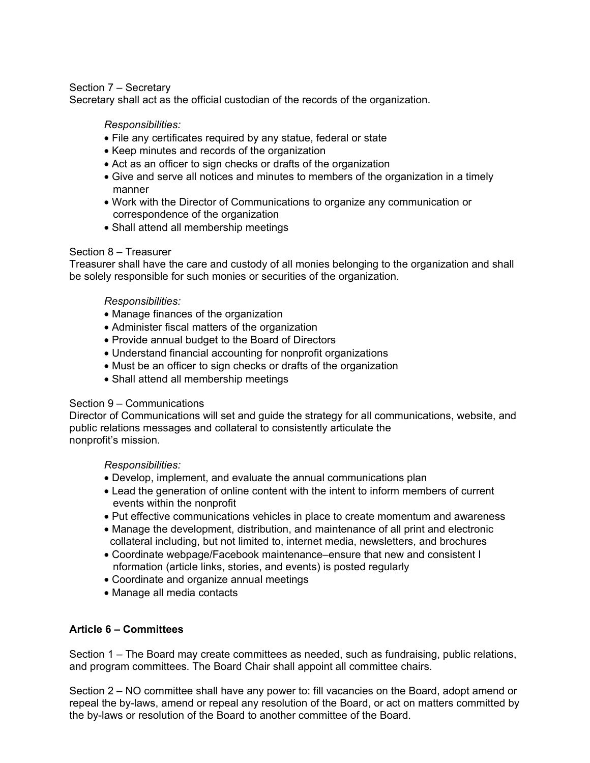## Section 7 – Secretary

Secretary shall act as the official custodian of the records of the organization.

#### *Responsibilities:*

- File any certificates required by any statue, federal or state
- Keep minutes and records of the organization
- Act as an officer to sign checks or drafts of the organization
- Give and serve all notices and minutes to members of the organization in a timely manner
- Work with the Director of Communications to organize any communication or correspondence of the organization
- Shall attend all membership meetings

#### Section 8 – Treasurer

Treasurer shall have the care and custody of all monies belonging to the organization and shall be solely responsible for such monies or securities of the organization.

### *Responsibilities:*

- Manage finances of the organization
- Administer fiscal matters of the organization
- Provide annual budget to the Board of Directors
- Understand financial accounting for nonprofit organizations
- Must be an officer to sign checks or drafts of the organization
- Shall attend all membership meetings

#### Section 9 – Communications

Director of Communications will set and guide the strategy for all communications, website, and public relations messages and collateral to consistently articulate the nonprofit's mission.

#### *Responsibilities:*

- Develop, implement, and evaluate the annual communications plan
- Lead the generation of online content with the intent to inform members of current events within the nonprofit
- Put effective communications vehicles in place to create momentum and awareness
- Manage the development, distribution, and maintenance of all print and electronic collateral including, but not limited to, internet media, newsletters, and brochures
- Coordinate webpage/Facebook maintenance–ensure that new and consistent I nformation (article links, stories, and events) is posted regularly
- Coordinate and organize annual meetings
- Manage all media contacts

#### **Article 6 – Committees**

Section 1 – The Board may create committees as needed, such as fundraising, public relations, and program committees. The Board Chair shall appoint all committee chairs.

Section 2 – NO committee shall have any power to: fill vacancies on the Board, adopt amend or repeal the by-laws, amend or repeal any resolution of the Board, or act on matters committed by the by-laws or resolution of the Board to another committee of the Board.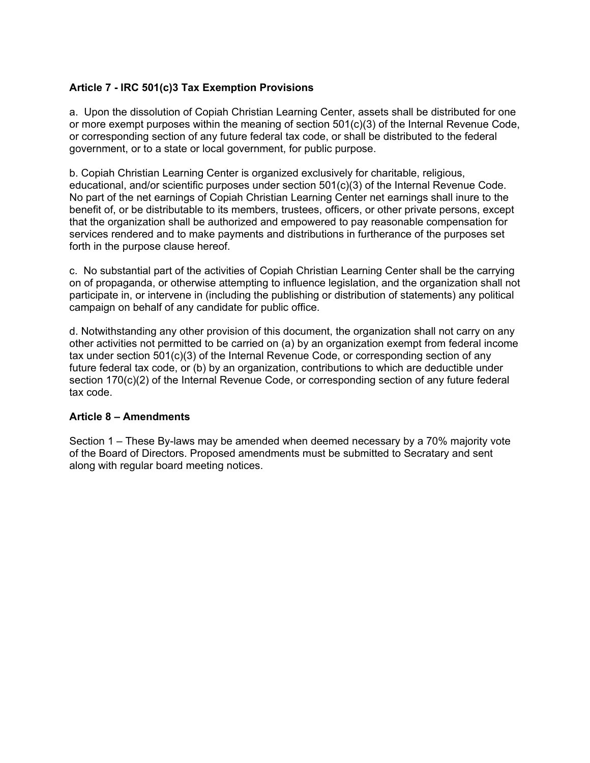# **Article 7 - IRC 501(c)3 Tax Exemption Provisions**

a. Upon the dissolution of Copiah Christian Learning Center, assets shall be distributed for one or more exempt purposes within the meaning of section 501(c)(3) of the Internal Revenue Code, or corresponding section of any future federal tax code, or shall be distributed to the federal government, or to a state or local government, for public purpose.

b. Copiah Christian Learning Center is organized exclusively for charitable, religious, educational, and/or scientific purposes under section 501(c)(3) of the Internal Revenue Code. No part of the net earnings of Copiah Christian Learning Center net earnings shall inure to the benefit of, or be distributable to its members, trustees, officers, or other private persons, except that the organization shall be authorized and empowered to pay reasonable compensation for services rendered and to make payments and distributions in furtherance of the purposes set forth in the purpose clause hereof.

c. No substantial part of the activities of Copiah Christian Learning Center shall be the carrying on of propaganda, or otherwise attempting to influence legislation, and the organization shall not participate in, or intervene in (including the publishing or distribution of statements) any political campaign on behalf of any candidate for public office.

d. Notwithstanding any other provision of this document, the organization shall not carry on any other activities not permitted to be carried on (a) by an organization exempt from federal income tax under section 501(c)(3) of the Internal Revenue Code, or corresponding section of any future federal tax code, or (b) by an organization, contributions to which are deductible under section 170(c)(2) of the Internal Revenue Code, or corresponding section of any future federal tax code.

## **Article 8 – Amendments**

Section 1 – These By-laws may be amended when deemed necessary by a 70% majority vote of the Board of Directors. Proposed amendments must be submitted to Secratary and sent along with regular board meeting notices.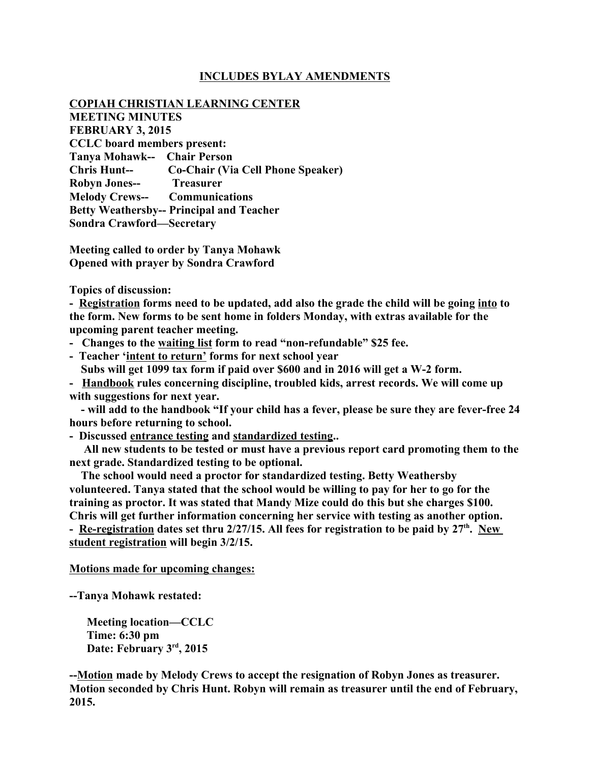## **INCLUDES BYLAY AMENDMENTS**

#### **COPIAH CHRISTIAN LEARNING CENTER**

**MEETING MINUTES FEBRUARY 3, 2015 CCLC board members present: Tanya Mohawk-- Chair Person Chris Hunt-- Co-Chair (Via Cell Phone Speaker) Robyn Jones-- Treasurer Melody Crews-- Communications Betty Weathersby-- Principal and Teacher Sondra Crawford—Secretary**

**Meeting called to order by Tanya Mohawk Opened with prayer by Sondra Crawford**

**Topics of discussion:**

**- Registration forms need to be updated, add also the grade the child will be going into to the form. New forms to be sent home in folders Monday, with extras available for the upcoming parent teacher meeting.** 

- **Changes to the waiting list form to read "non-refundable" \$25 fee.**
- **Teacher 'intent to return' forms for next school year**
	- **Subs will get 1099 tax form if paid over \$600 and in 2016 will get a W-2 form.**

**- Handbook rules concerning discipline, troubled kids, arrest records. We will come up with suggestions for next year.**

 **- will add to the handbook "If your child has a fever, please be sure they are fever-free 24 hours before returning to school.**

**- Discussed entrance testing and standardized testing..**

 **All new students to be tested or must have a previous report card promoting them to the next grade. Standardized testing to be optional.**

 **The school would need a proctor for standardized testing. Betty Weathersby volunteered. Tanya stated that the school would be willing to pay for her to go for the training as proctor. It was stated that Mandy Mize could do this but she charges \$100. Chris will get further information concerning her service with testing as another option.** - Re-registration dates set thru 2/27/15. All fees for registration to be paid by 27<sup>th</sup>. New **student registration will begin 3/2/15.** 

**Motions made for upcoming changes:**

**--Tanya Mohawk restated:**

 **Meeting location—CCLC Time: 6:30 pm Date: February 3rd, 2015**

**--Motion made by Melody Crews to accept the resignation of Robyn Jones as treasurer. Motion seconded by Chris Hunt. Robyn will remain as treasurer until the end of February, 2015.**